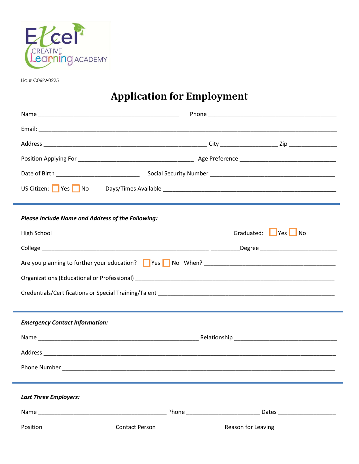

Lic.# C06PA0225

## **Application for Employment**

| <b>Please Include Name and Address of the Following:</b> |  |  |  |
|----------------------------------------------------------|--|--|--|
|                                                          |  |  |  |
|                                                          |  |  |  |
|                                                          |  |  |  |
|                                                          |  |  |  |
|                                                          |  |  |  |
|                                                          |  |  |  |
| <b>Emergency Contact Information:</b>                    |  |  |  |
|                                                          |  |  |  |
|                                                          |  |  |  |
|                                                          |  |  |  |
|                                                          |  |  |  |
| <b>Last Three Employers:</b>                             |  |  |  |
|                                                          |  |  |  |
|                                                          |  |  |  |
|                                                          |  |  |  |